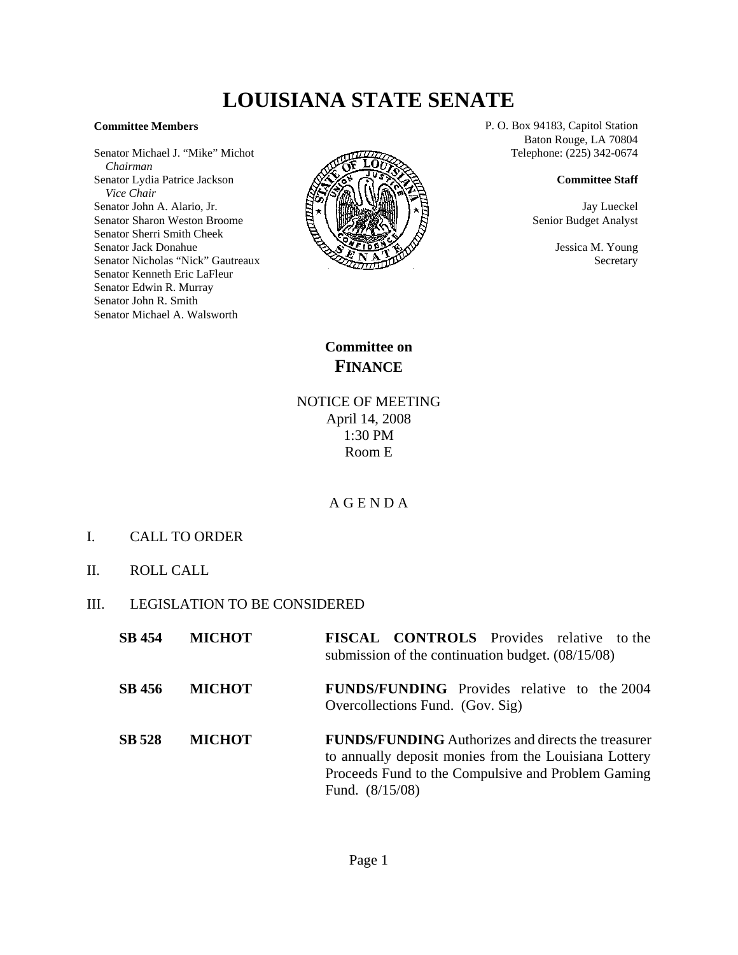## **LOUISIANA STATE SENATE**

## **Committee Members**

Senator Michael J. "Mike" Michot  *Chairman* Senator Lydia Patrice Jackson  *Vice Chair* Senator John A. Alario, Jr. Senator Sharon Weston Broome Senator Sherri Smith Cheek Senator Jack Donahue Senator Nicholas "Nick" Gautreaux Senator Kenneth Eric LaFleur Senator Edwin R. Murray Senator John R. Smith Senator Michael A. Walsworth



P. O. Box 94183, Capitol Station Baton Rouge, LA 70804 Telephone: (225) 342-0674

## **Committee Staff**

Jay Lueckel Senior Budget Analyst

> Jessica M. Young Secretary

**Committee on FINANCE**

NOTICE OF MEETING April 14, 2008 1:30 PM Room E

## A G E N D A

- I. CALL TO ORDER
- II. ROLL CALL
- III. LEGISLATION TO BE CONSIDERED

| <b>SB</b> 454 | <b>MICHOT</b> | <b>FISCAL CONTROLS</b> Provides relative to the<br>submission of the continuation budget. $(08/15/08)$                                                                                        |
|---------------|---------------|-----------------------------------------------------------------------------------------------------------------------------------------------------------------------------------------------|
| SB 456        | <b>MICHOT</b> | <b>FUNDS/FUNDING</b> Provides relative to the 2004<br>Overcollections Fund. (Gov. Sig)                                                                                                        |
| <b>SB 528</b> | <b>MICHOT</b> | <b>FUNDS/FUNDING</b> Authorizes and directs the treasurer<br>to annually deposit monies from the Louisiana Lottery<br>Proceeds Fund to the Compulsive and Problem Gaming<br>Fund. $(8/15/08)$ |